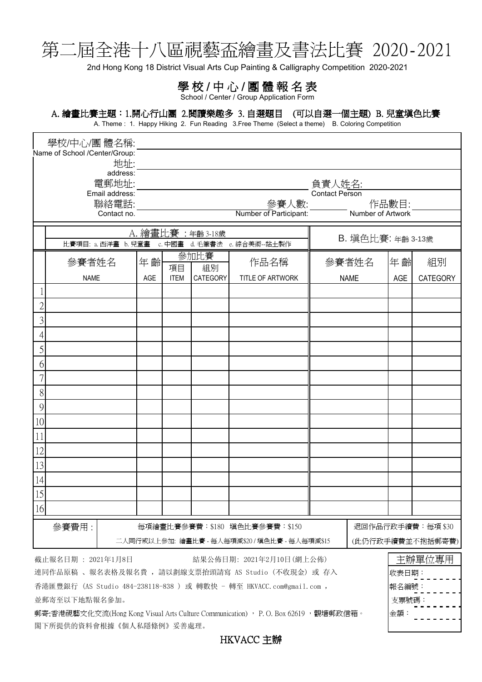## 第二屆全港十八區視藝盃繪畫及書法比賽 2020-2021

2nd Hong Kong 18 District Visual Arts Cup Painting & Calligraphy Competition 2020-2021

## 學校/中心/團體報名表

School / Center / Group Application Form

## A. 繪畫比賽主題:1.開心行山團 2.閱讀樂趣多 3. 自選題目 (可以自選一個主題) B. 兒童填色比賽

A. Theme: 1. Happy Hiking 2. Fun Reading 3. Free Theme (Select a theme) B. Coloring Competition

| 學校/中心/團 體名稱:                                                                        |                                   |             |                                                                                                                       |             |                   |                                                     |                   |             |       |                  |  |
|-------------------------------------------------------------------------------------|-----------------------------------|-------------|-----------------------------------------------------------------------------------------------------------------------|-------------|-------------------|-----------------------------------------------------|-------------------|-------------|-------|------------------|--|
| Name of School /Center/Group:                                                       |                                   |             |                                                                                                                       |             |                   |                                                     |                   |             |       |                  |  |
| 地址:<br>address:                                                                     |                                   |             |                                                                                                                       |             |                   |                                                     |                   |             |       |                  |  |
|                                                                                     | 電郵地址:<br>負責人姓名:<br>Contact Person |             |                                                                                                                       |             |                   |                                                     |                   |             |       |                  |  |
| Email address:<br>聯絡電話:                                                             |                                   |             |                                                                                                                       |             |                   |                                                     |                   |             |       |                  |  |
|                                                                                     |                                   | Contact no. | 作品數目:<br><u>參賽人數:__________</u> 作品數目:<br>f <sup>r p</sup> articipant:     Number of Artwork<br>Number of Participant: |             |                   |                                                     |                   |             |       |                  |  |
|                                                                                     |                                   |             |                                                                                                                       |             |                   |                                                     |                   |             |       |                  |  |
|                                                                                     |                                   |             |                                                                                                                       |             | A. 繪畫比賽: 年齡 3-18歲 | 比賽項目: a. 西洋畫 b. 兒童畫 c. 中國畫 d. 毛筆書法 e. 綜合美術--黏土製作    | B. 填色比賽: 年齡 3-13歲 |             |       |                  |  |
|                                                                                     |                                   |             |                                                                                                                       |             | 參加比賽              |                                                     | 參賽者姓名             |             |       |                  |  |
|                                                                                     | 參賽者姓名                             |             | 年齡                                                                                                                    | 項目          | 組別                | 作品名稱                                                |                   |             | 年齡    | 組別               |  |
|                                                                                     | <b>NAME</b>                       |             | AGE                                                                                                                   | <b>ITEM</b> | CATEGORY          | TITLE OF ARTWORK                                    |                   | <b>NAME</b> | AGE   | <b>CATEGORY</b>  |  |
|                                                                                     |                                   |             |                                                                                                                       |             |                   |                                                     |                   |             |       |                  |  |
| 2                                                                                   |                                   |             |                                                                                                                       |             |                   |                                                     |                   |             |       |                  |  |
| 3                                                                                   |                                   |             |                                                                                                                       |             |                   |                                                     |                   |             |       |                  |  |
|                                                                                     |                                   |             |                                                                                                                       |             |                   |                                                     |                   |             |       |                  |  |
| 5                                                                                   |                                   |             |                                                                                                                       |             |                   |                                                     |                   |             |       |                  |  |
| 6                                                                                   |                                   |             |                                                                                                                       |             |                   |                                                     |                   |             |       |                  |  |
|                                                                                     |                                   |             |                                                                                                                       |             |                   |                                                     |                   |             |       |                  |  |
| 8                                                                                   |                                   |             |                                                                                                                       |             |                   |                                                     |                   |             |       |                  |  |
| 9                                                                                   |                                   |             |                                                                                                                       |             |                   |                                                     |                   |             |       |                  |  |
| 10                                                                                  |                                   |             |                                                                                                                       |             |                   |                                                     |                   |             |       |                  |  |
| 11                                                                                  |                                   |             |                                                                                                                       |             |                   |                                                     |                   |             |       |                  |  |
| 12                                                                                  |                                   |             |                                                                                                                       |             |                   |                                                     |                   |             |       |                  |  |
| 13                                                                                  |                                   |             |                                                                                                                       |             |                   |                                                     |                   |             |       |                  |  |
| 14                                                                                  |                                   |             |                                                                                                                       |             |                   |                                                     |                   |             |       |                  |  |
| 15                                                                                  |                                   |             |                                                                                                                       |             |                   |                                                     |                   |             |       |                  |  |
| 16                                                                                  |                                   |             |                                                                                                                       |             |                   |                                                     |                   |             |       |                  |  |
|                                                                                     |                                   |             |                                                                                                                       |             |                   | 每項繪畫比賽參賽費:\$180 填色比賽參賽費:\$150                       |                   |             |       | 退回作品行政手續費:每項\$30 |  |
|                                                                                     | 參賽費用:                             |             |                                                                                                                       |             |                   | 二人同行或以上參加: 繪畫比賽 - 每人每項減\$20 / 填色比賽 - 每人每項減\$15      |                   |             |       | (此仍行政手續費並不抱括郵寄費) |  |
|                                                                                     |                                   |             |                                                                                                                       |             |                   |                                                     |                   |             |       |                  |  |
|                                                                                     | 截止報名日期: 2021年1月8日                 |             |                                                                                                                       |             |                   | 結果公佈日期: 2021年2月10日(網上公佈)                            |                   |             |       | 主辦單位專用           |  |
|                                                                                     |                                   |             |                                                                                                                       |             |                   | 連同作品原稿 、報名表格及報名費 , 請以劃線支票抬頭請寫 AS Studio (不收現金) 或 存入 |                   |             | 收表日期: |                  |  |
| 香港匯豐銀行 (AS Studio 484-238118-838 ) 或 轉數快 - 轉至 HKVACC.com@gmail.com ,                |                                   |             |                                                                                                                       |             |                   |                                                     |                   |             | 報名編號: |                  |  |
| 並郵寄至以下地點報名參加。                                                                       |                                   |             |                                                                                                                       |             |                   |                                                     |                   |             | 支票號碼: |                  |  |
| 郵寄:香港視藝文化交流(Hong Kong Visual Arts Culture Communication) , P. O. Box 62619 ,觀塘郵政信箱。 |                                   |             |                                                                                                                       |             |                   |                                                     |                   |             | 金額:   |                  |  |
|                                                                                     | 閣下所提供的資料會根據《個人私隱條例》妥善處理。          |             |                                                                                                                       |             |                   |                                                     |                   |             |       |                  |  |

HKVACC 主辦